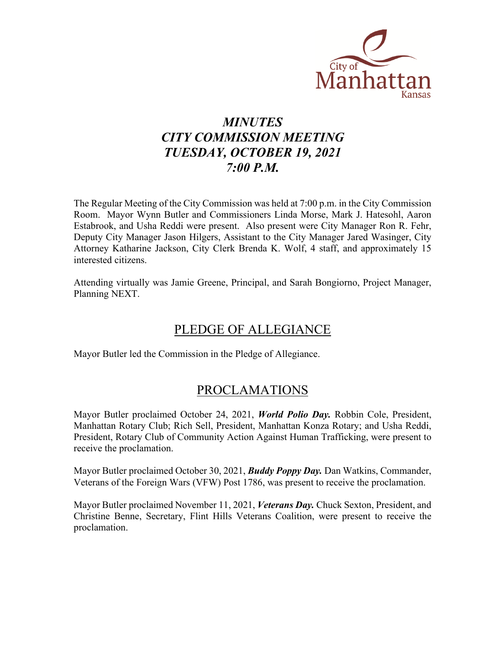

# *MINUTES CITY COMMISSION MEETING TUESDAY, OCTOBER 19, 2021 7:00 P.M.*

The Regular Meeting of the City Commission was held at 7:00 p.m. in the City Commission Room. Mayor Wynn Butler and Commissioners Linda Morse, Mark J. Hatesohl, Aaron Estabrook, and Usha Reddi were present. Also present were City Manager Ron R. Fehr, Deputy City Manager Jason Hilgers, Assistant to the City Manager Jared Wasinger, City Attorney Katharine Jackson, City Clerk Brenda K. Wolf, 4 staff, and approximately 15 interested citizens.

Attending virtually was Jamie Greene, Principal, and Sarah Bongiorno, Project Manager, Planning NEXT.

# PLEDGE OF ALLEGIANCE

Mayor Butler led the Commission in the Pledge of Allegiance.

### PROCLAMATIONS

Mayor Butler proclaimed October 24, 2021, *World Polio Day.* Robbin Cole, President, Manhattan Rotary Club; Rich Sell, President, Manhattan Konza Rotary; and Usha Reddi, President, Rotary Club of Community Action Against Human Trafficking, were present to receive the proclamation.

Mayor Butler proclaimed October 30, 2021, *Buddy Poppy Day.* Dan Watkins, Commander, Veterans of the Foreign Wars (VFW) Post 1786, was present to receive the proclamation.

Mayor Butler proclaimed November 11, 2021, *Veterans Day.* Chuck Sexton, President, and Christine Benne, Secretary, Flint Hills Veterans Coalition, were present to receive the proclamation.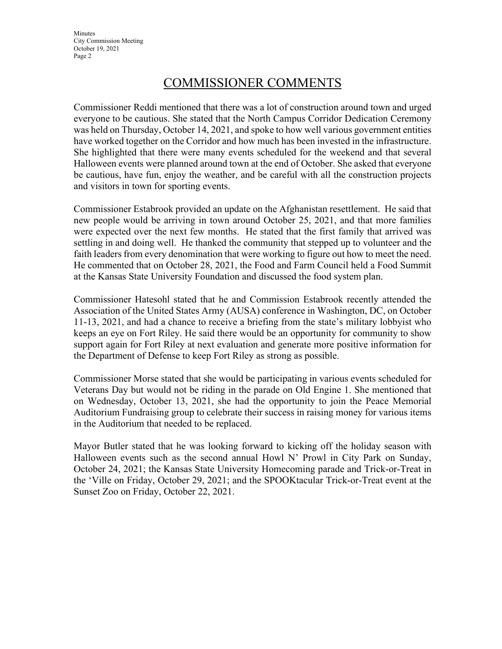**Minutes** City Commission Meeting October 19, 2021 Page 2

### COMMISSIONER COMMENTS

Commissioner Reddi mentioned that there was a lot of construction around town and urged everyone to be cautious. She stated that the North Campus Corridor Dedication Ceremony was held on Thursday, October 14, 2021, and spoke to how well various government entities have worked together on the Corridor and how much has been invested in the infrastructure. She highlighted that there were many events scheduled for the weekend and that several Halloween events were planned around town at the end of October. She asked that everyone be cautious, have fun, enjoy the weather, and be careful with all the construction projects and visitors in town for sporting events.

Commissioner Estabrook provided an update on the Afghanistan resettlement. He said that new people would be arriving in town around October 25, 2021, and that more families were expected over the next few months. He stated that the first family that arrived was settling in and doing well. He thanked the community that stepped up to volunteer and the faith leaders from every denomination that were working to figure out how to meet the need. He commented that on October 28, 2021, the Food and Farm Council held a Food Summit at the Kansas State University Foundation and discussed the food system plan.

Commissioner Hatesohl stated that he and Commission Estabrook recently attended the Association of the United States Army (AUSA) conference in Washington, DC, on October 11-13, 2021, and had a chance to receive a briefing from the state's military lobbyist who keeps an eye on Fort Riley. He said there would be an opportunity for community to show support again for Fort Riley at next evaluation and generate more positive information for the Department of Defense to keep Fort Riley as strong as possible.

Commissioner Morse stated that she would be participating in various events scheduled for Veterans Day but would not be riding in the parade on Old Engine 1. She mentioned that on Wednesday, October 13, 2021, she had the opportunity to join the Peace Memorial Auditorium Fundraising group to celebrate their success in raising money for various items in the Auditorium that needed to be replaced.

Mayor Butler stated that he was looking forward to kicking off the holiday season with Halloween events such as the second annual Howl N' Prowl in City Park on Sunday, October 24, 2021; the Kansas State University Homecoming parade and Trick-or-Treat in the 'Ville on Friday, October 29, 2021; and the SPOOKtacular Trick-or-Treat event at the Sunset Zoo on Friday, October 22, 2021.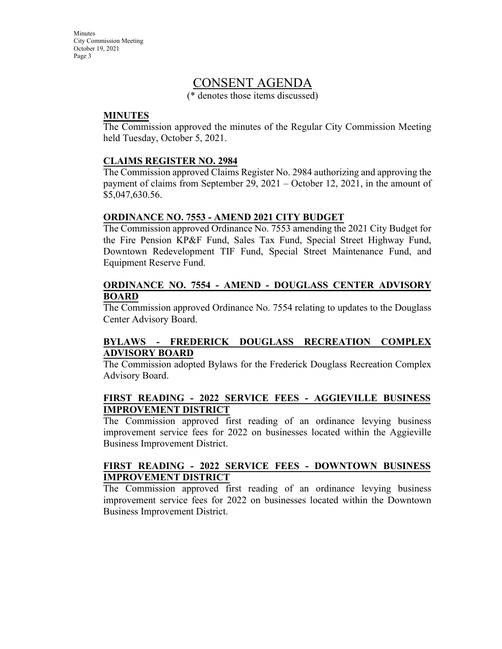**Minutes** City Commission Meeting October 19, 2021 Page 3

### CONSENT AGENDA

(\* denotes those items discussed)

#### **MINUTES**

The Commission approved the minutes of the Regular City Commission Meeting held Tuesday, October 5, 2021.

#### **CLAIMS REGISTER NO. 2984**

The Commission approved Claims Register No. 2984 authorizing and approving the payment of claims from September 29, 2021 – October 12, 2021, in the amount of \$5,047,630.56.

#### **ORDINANCE NO. 7553 - AMEND 2021 CITY BUDGET**

The Commission approved Ordinance No. 7553 amending the 2021 City Budget for the Fire Pension KP&F Fund, Sales Tax Fund, Special Street Highway Fund, Downtown Redevelopment TIF Fund, Special Street Maintenance Fund, and Equipment Reserve Fund.

#### **ORDINANCE NO. 7554 - AMEND - DOUGLASS CENTER ADVISORY BOARD**

The Commission approved Ordinance No. 7554 relating to updates to the Douglass Center Advisory Board.

#### **BYLAWS - FREDERICK DOUGLASS RECREATION COMPLEX ADVISORY BOARD**

The Commission adopted Bylaws for the Frederick Douglass Recreation Complex Advisory Board.

#### **FIRST READING - 2022 SERVICE FEES - AGGIEVILLE BUSINESS IMPROVEMENT DISTRICT**

The Commission approved first reading of an ordinance levying business improvement service fees for 2022 on businesses located within the Aggieville Business Improvement District.

#### **FIRST READING - 2022 SERVICE FEES - DOWNTOWN BUSINESS IMPROVEMENT DISTRICT**

The Commission approved first reading of an ordinance levying business improvement service fees for 2022 on businesses located within the Downtown Business Improvement District.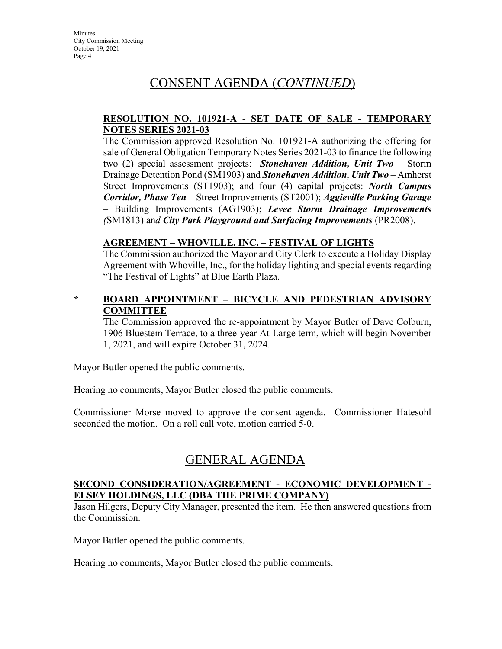## CONSENT AGENDA (*CONTINUED*)

#### **RESOLUTION NO. 101921-A - SET DATE OF SALE - TEMPORARY NOTES SERIES 2021-03**

The Commission approved Resolution No. 101921-A authorizing the offering for sale of General Obligation Temporary Notes Series 2021-03 to finance the following two (2) special assessment projects: *Stonehaven Addition, Unit Two* – Storm Drainage Detention Pond (SM1903) and *Stonehaven Addition, Unit Two –* Amherst Street Improvements (ST1903); and four (4) capital projects: *North Campus Corridor, Phase Ten –* Street Improvements (ST2001); *Aggieville Parking Garage –* Building Improvements (AG1903); *Levee Storm Drainage Improvements (*SM1813) an*d City Park Playground and Surfacing Improvements* (PR2008).

#### **AGREEMENT – WHOVILLE, INC. – FESTIVAL OF LIGHTS**

The Commission authorized the Mayor and City Clerk to execute a Holiday Display Agreement with Whoville, Inc., for the holiday lighting and special events regarding "The Festival of Lights" at Blue Earth Plaza.

#### **\* BOARD APPOINTMENT – BICYCLE AND PEDESTRIAN ADVISORY COMMITTEE**

The Commission approved the re-appointment by Mayor Butler of Dave Colburn, 1906 Bluestem Terrace, to a three-year At-Large term, which will begin November 1, 2021, and will expire October 31, 2024.

Mayor Butler opened the public comments.

Hearing no comments, Mayor Butler closed the public comments.

Commissioner Morse moved to approve the consent agenda. Commissioner Hatesohl seconded the motion. On a roll call vote, motion carried 5-0.

### GENERAL AGENDA

#### **SECOND CONSIDERATION/AGREEMENT - ECONOMIC DEVELOPMENT - ELSEY HOLDINGS, LLC (DBA THE PRIME COMPANY)**

Jason Hilgers, Deputy City Manager, presented the item. He then answered questions from the Commission.

Mayor Butler opened the public comments.

Hearing no comments, Mayor Butler closed the public comments.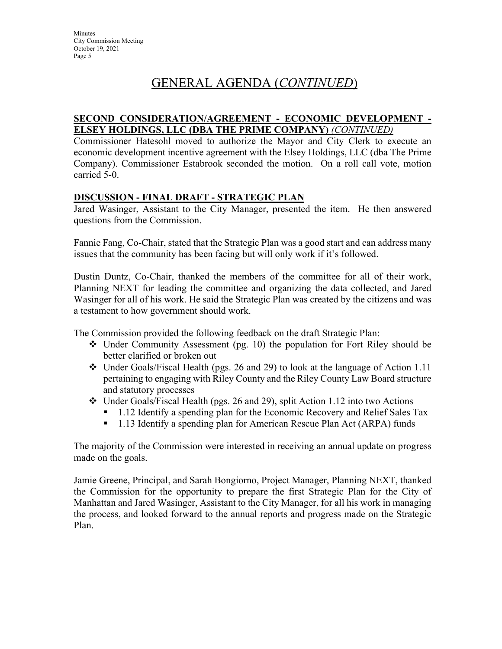# GENERAL AGENDA (*CONTINUED*)

#### **SECOND CONSIDERATION/AGREEMENT - ECONOMIC DEVELOPMENT - ELSEY HOLDINGS, LLC (DBA THE PRIME COMPANY)** *(CONTINUED)*

Commissioner Hatesohl moved to authorize the Mayor and City Clerk to execute an economic development incentive agreement with the Elsey Holdings, LLC (dba The Prime Company). Commissioner Estabrook seconded the motion. On a roll call vote, motion carried 5-0.

#### **DISCUSSION - FINAL DRAFT - STRATEGIC PLAN**

Jared Wasinger, Assistant to the City Manager, presented the item. He then answered questions from the Commission.

Fannie Fang, Co-Chair, stated that the Strategic Plan was a good start and can address many issues that the community has been facing but will only work if it's followed.

Dustin Duntz, Co-Chair, thanked the members of the committee for all of their work, Planning NEXT for leading the committee and organizing the data collected, and Jared Wasinger for all of his work. He said the Strategic Plan was created by the citizens and was a testament to how government should work.

The Commission provided the following feedback on the draft Strategic Plan:

- $\div$  Under Community Assessment (pg. 10) the population for Fort Riley should be better clarified or broken out
- $\div$  Under Goals/Fiscal Health (pgs. 26 and 29) to look at the language of Action 1.11 pertaining to engaging with Riley County and the Riley County Law Board structure and statutory processes
- Under Goals/Fiscal Health (pgs. 26 and 29), split Action 1.12 into two Actions
	- <sup>1</sup> 1.12 Identify a spending plan for the Economic Recovery and Relief Sales Tax
	- <sup>•</sup> 1.13 Identify a spending plan for American Rescue Plan Act (ARPA) funds

The majority of the Commission were interested in receiving an annual update on progress made on the goals.

Jamie Greene, Principal, and Sarah Bongiorno, Project Manager, Planning NEXT, thanked the Commission for the opportunity to prepare the first Strategic Plan for the City of Manhattan and Jared Wasinger, Assistant to the City Manager, for all his work in managing the process, and looked forward to the annual reports and progress made on the Strategic Plan.